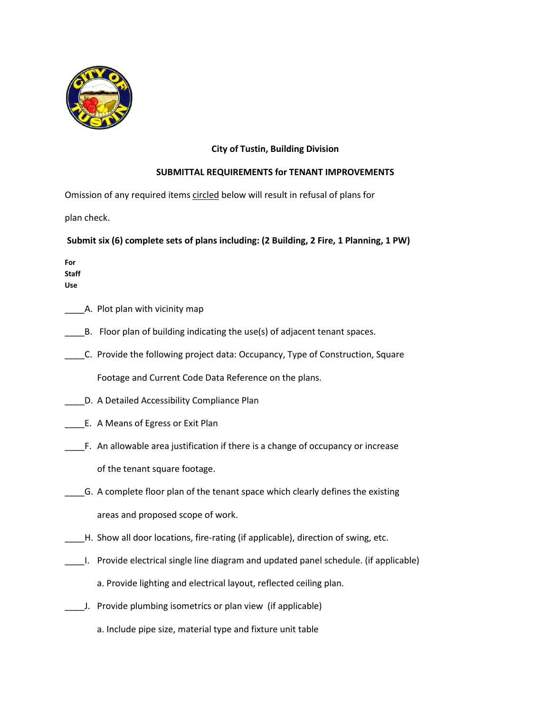

## **City of Tustin, Building Division**

## **SUBMITTAL REQUIREMENTS for TENANT IMPROVEMENTS**

Omission of any required items circled below will result in refusal of plans for

plan check.

**Submit six (6) complete sets of plans including: (2 Building, 2 Fire, 1 Planning, 1 PW)**

**For Staff Use**

- \_\_\_\_A. Plot plan with vicinity map
- \_\_\_\_B. Floor plan of building indicating the use(s) of adjacent tenant spaces.
- \_\_\_\_C. Provide the following project data: Occupancy, Type of Construction, Square Footage and Current Code Data Reference on the plans.
- \_\_\_\_D. A Detailed Accessibility Compliance Plan
- \_\_\_\_E. A Means of Egress or Exit Plan
- \_\_\_\_F. An allowable area justification if there is a change of occupancy or increase of the tenant square footage.
- \_\_\_\_G. A complete floor plan of the tenant space which clearly defines the existing areas and proposed scope of work.
- \_\_\_\_H. Show all door locations, fire-rating (if applicable), direction of swing, etc.
- \_\_\_\_I. Provide electrical single line diagram and updated panel schedule. (if applicable) a. Provide lighting and electrical layout, reflected ceiling plan.
- \_\_\_\_J. Provide plumbing isometrics or plan view (if applicable)
	- a. Include pipe size, material type and fixture unit table